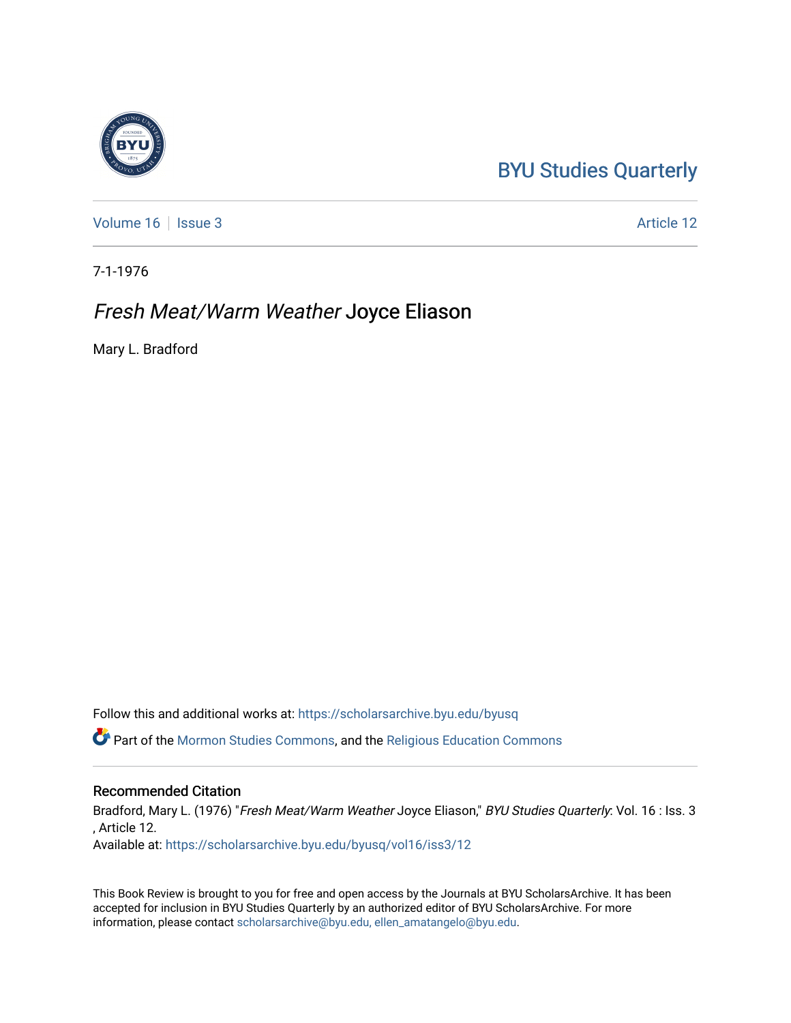## [BYU Studies Quarterly](https://scholarsarchive.byu.edu/byusq)

[Volume 16](https://scholarsarchive.byu.edu/byusq/vol16) | [Issue 3](https://scholarsarchive.byu.edu/byusq/vol16/iss3) Article 12

7-1-1976

## Fresh Meat/Warm Weather Joyce Eliason

Mary L. Bradford

Follow this and additional works at: [https://scholarsarchive.byu.edu/byusq](https://scholarsarchive.byu.edu/byusq?utm_source=scholarsarchive.byu.edu%2Fbyusq%2Fvol16%2Fiss3%2F12&utm_medium=PDF&utm_campaign=PDFCoverPages) 

Part of the [Mormon Studies Commons](http://network.bepress.com/hgg/discipline/1360?utm_source=scholarsarchive.byu.edu%2Fbyusq%2Fvol16%2Fiss3%2F12&utm_medium=PDF&utm_campaign=PDFCoverPages), and the [Religious Education Commons](http://network.bepress.com/hgg/discipline/1414?utm_source=scholarsarchive.byu.edu%2Fbyusq%2Fvol16%2Fiss3%2F12&utm_medium=PDF&utm_campaign=PDFCoverPages) 

## Recommended Citation

Bradford, Mary L. (1976) "Fresh Meat/Warm Weather Joyce Eliason," BYU Studies Quarterly: Vol. 16 : Iss. 3 , Article 12.

Available at: [https://scholarsarchive.byu.edu/byusq/vol16/iss3/12](https://scholarsarchive.byu.edu/byusq/vol16/iss3/12?utm_source=scholarsarchive.byu.edu%2Fbyusq%2Fvol16%2Fiss3%2F12&utm_medium=PDF&utm_campaign=PDFCoverPages) 

This Book Review is brought to you for free and open access by the Journals at BYU ScholarsArchive. It has been accepted for inclusion in BYU Studies Quarterly by an authorized editor of BYU ScholarsArchive. For more information, please contact [scholarsarchive@byu.edu, ellen\\_amatangelo@byu.edu.](mailto:scholarsarchive@byu.edu,%20ellen_amatangelo@byu.edu)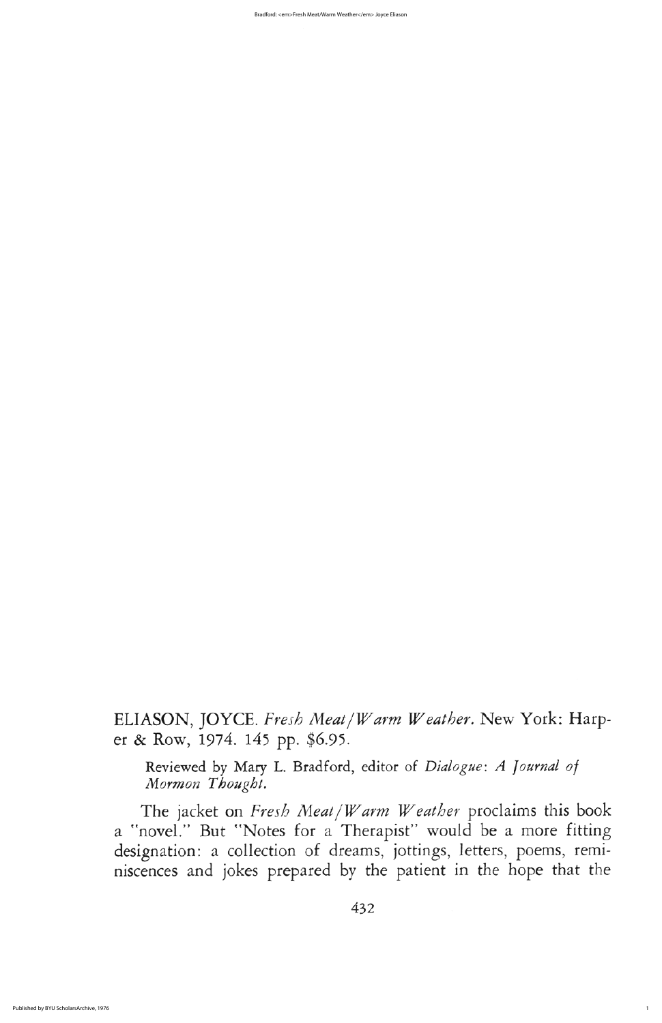The jacket on Fresh Meat *Warm Weather* proclaims this book a "novel." But "Notes for a Therapist" would be a more fitting designation: a collection of dreams, jottings, letters, poems, reminiscences and jokes prepared by the patient in the hope that the

432

1

Bradford: <em>Fresh Meat/Warm Weather</em> Joyce Eliason

ELIASON, JOYCE. Fresh Meat/Warm Weather. New York: Harper & Row, 1974. 145 pp. \$6.95.

Reviewed by Mary L. Bradford, editor of Dialogue: A Journal of Mormon Thought.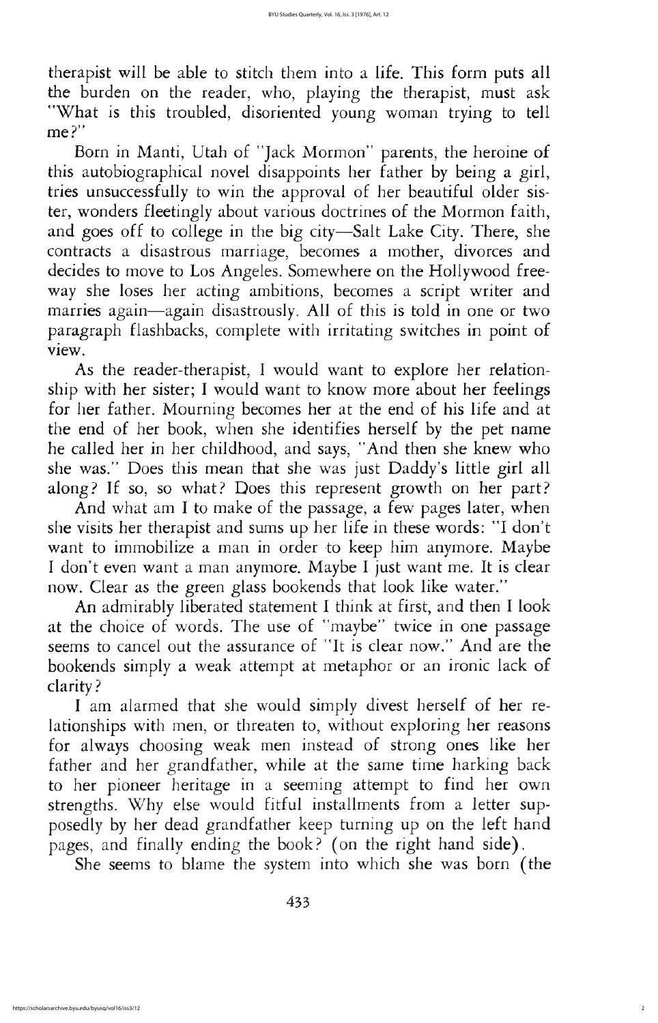Born in Manti, Utah of "Jack Mormon" parents, the heroine of this autobiographical novel disappoints her father by being a girl tries unsuccessfully to win the approval of her beautiful older sister, wonders fleetingly about various doctrines of the Mormon faith, and goes off to college in the big city—Salt Lake City. There, she contracts a disastrous marriage, becomes a mother, divorces and decides to move to Los Angeles. Somewhere on the Hollywood freeway she loses her acting ambitions, becomes a script writer and marries again—again disastrously. All of this is told in one or two paragraph flashbacks, complete with irritating switches in point of view

As the reader-therapist, I would want to explore her relationship with her sister; I would want to know more about her feelings for her father. Mourning becomes her at the end of his life and at the end of her book, when she identifies herself by the pet name he called her in her childhood, and says, "And then she knew who she was." Does this mean that she was just Daddy's little girl all along? If so, so what? Does this represent growth on her part?

And what am I to make of the passage, a few pages later, when she visits her therapist and sums up her life in these words: "I don't want to immobilize a man in order to keep him anymore. Maybe I don't even want a man anymore. Maybe I just want me. It is clear now. Clear as the green glass bookends that look like water." An admirably liberated statement I think at first, and then I look at the choice of words. The use of "maybe" twice in one passage seems to cancel out the assurance of "It is clear now." And are the bookends simply a weak attempt at metaphor or an ironic lack of clarity I am alarmed that she would simply divest herself of her relationships with men, or threaten to, without exploring her reasons for always choosing weak men instead of strong ones like her father and her grandfather, while at the same time harking back to her pioneer heritage in a seeming attempt to find her own strengths. Why else would fitful installments from a letter supposedly by her dead grandfather keep turning up on the left hand pages, and finally ending the book? (on the right hand side). She seems to blame the system into which she was born (the

433

therapist will be able to stitch them into a life. This form puts all the burden on the reader, who, playing the therapist, must ask What is this troubled, disoriented young woman trying to tell me?"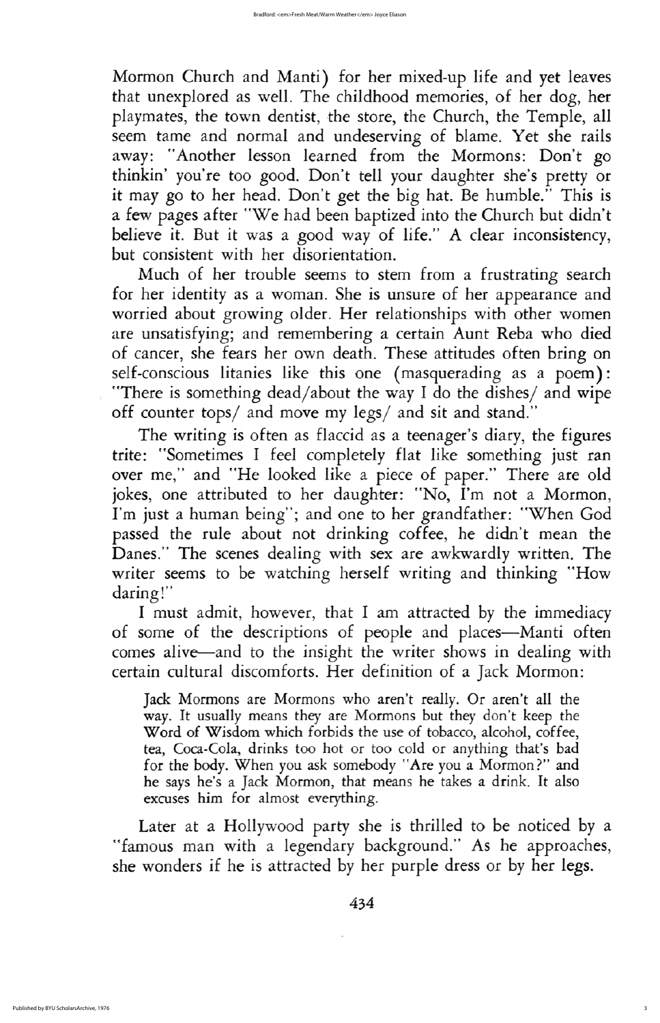Mormon Church and Manti) for her mixed-up life and yet leaves that unexplored as well. The childhood memories, of her dog, her playmates, the town dentist, the store, the Church, the Temple, all seem tame and normal and undeserving of blame. Yet she rails away: "Another lesson learned from the Mormons: Don't go thinkin' you're too good. Don't tell your daughter she's pretty or it may go to her head. Don't get the big hat. Be humble." This is a few pages after "We had been baptized into the Church but didn't believe it. But it was a good way of life." A clear inconsistency, but consistent with her disorientation

Much of her trouble seems to stem from a frustrating search for her identity as a woman. She is unsure of her appearance and worried about growing older. Her relationships with other women are unsatisfying; and remembering a certain Aunt Reba who died of cancer, she fears her own death. These attitudes often bring on self-conscious litanies like this one (masquerading as a poem): "There is something dead/about the way I do the dishes/ and wipe off counter tops/ and move my legs/ and sit and stand."

The writing is often as flaccid as a teenager's diary, the figures trite: "Sometimes I feel completely flat like something just ran over me," and "He looked like a piece of paper." There are old jokes, one attributed to her daughter: "No, I'm not a Mormon, I'm just a human being"; and one to her grandfather: "When God passed the rule about not drinking coffee, he didn't mean the Danes." The scenes dealing with sex are awkwardly written. The writer seems to be watching herself writing and thinking "How daring!" I must admit, however, that I am attracted by the immediacy of some of the descriptions of people and places—Manti often comes alive—and to the insight the writer shows in dealing with certain cultural discomforts. Her definition of a Jack Mormon:

Jack Mormons are Mormons who aren't really. Or aren't all the way. It usually means they are Mormons but they don't keep the Word of Wisdom which forbids the use of tobacco, alcohol, coffee, tea, Coca-Cola, drinks too hot or too cold or anything that's bad for the body. When you ask somebody "Are you a Mormon?" and he says he's a Jack Mormon, that means he takes a drink. It also excuses him for almost everything

Later at a Hollywood party she is thrilled to be noticed by a "famous man with a legendary background." As he approaches, she wonders if he is attracted by her purple dress or by her legs

434